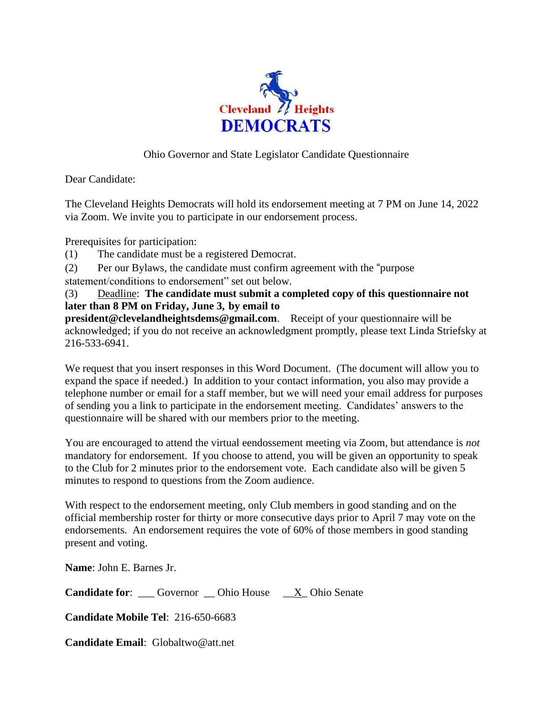

## Ohio Governor and State Legislator Candidate Questionnaire

Dear Candidate:

The Cleveland Heights Democrats will hold its endorsement meeting at 7 PM on June 14, 2022 via Zoom. We invite you to participate in our endorsement process.

Prerequisites for participation:

- (1) The candidate must be a registered Democrat.
- (2) Per our Bylaws, the candidate must confirm agreement with the "purpose
- statement/conditions to endorsement" set out below.

(3) Deadline: **The candidate must submit a completed copy of this questionnaire not later than 8 PM on Friday, June 3, by email to**

**president@clevelandheightsdems@gmail.com**. Receipt of your questionnaire will be acknowledged; if you do not receive an acknowledgment promptly, please text Linda Striefsky at 216-533-6941.

We request that you insert responses in this Word Document. (The document will allow you to expand the space if needed.) In addition to your contact information, you also may provide a telephone number or email for a staff member, but we will need your email address for purposes of sending you a link to participate in the endorsement meeting. Candidates' answers to the questionnaire will be shared with our members prior to the meeting.

You are encouraged to attend the virtual eendossement meeting via Zoom, but attendance is *not*  mandatory for endorsement. If you choose to attend, you will be given an opportunity to speak to the Club for 2 minutes prior to the endorsement vote. Each candidate also will be given 5 minutes to respond to questions from the Zoom audience.

With respect to the endorsement meeting, only Club members in good standing and on the official membership roster for thirty or more consecutive days prior to April 7 may vote on the endorsements. An endorsement requires the vote of 60% of those members in good standing present and voting.

**Name**: John E. Barnes Jr.

**Candidate for:** Governor Ohio House X Ohio Senate

**Candidate Mobile Tel**: 216-650-6683

**Candidate Email**: Globaltwo@att.net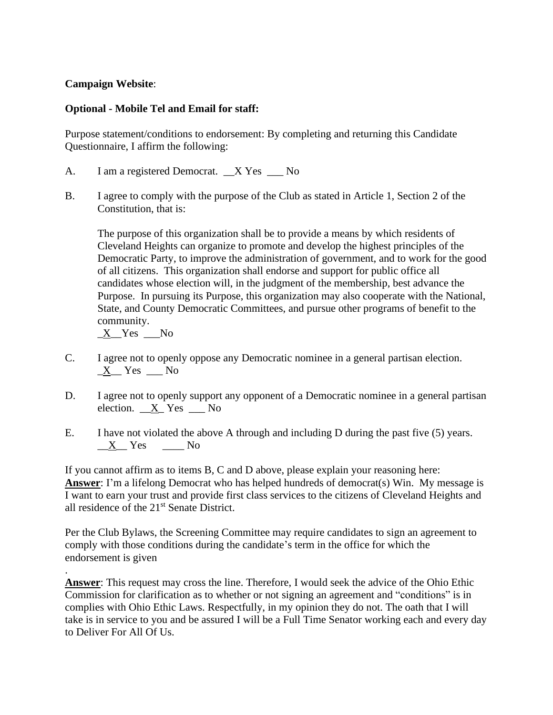## **Campaign Website**:

## **Optional - Mobile Tel and Email for staff:**

Purpose statement/conditions to endorsement: By completing and returning this Candidate Questionnaire, I affirm the following:

- A. I am a registered Democrat. X Yes No
- B. I agree to comply with the purpose of the Club as stated in Article 1, Section 2 of the Constitution, that is:

The purpose of this organization shall be to provide a means by which residents of Cleveland Heights can organize to promote and develop the highest principles of the Democratic Party, to improve the administration of government, and to work for the good of all citizens. This organization shall endorse and support for public office all candidates whose election will, in the judgment of the membership, best advance the Purpose. In pursuing its Purpose, this organization may also cooperate with the National, State, and County Democratic Committees, and pursue other programs of benefit to the community.

X Yes No

.

- C. I agree not to openly oppose any Democratic nominee in a general partisan election.  $X$ <sup> $Y$ es  $N$ o</sup>
- D. I agree not to openly support any opponent of a Democratic nominee in a general partisan election. X Yes No
- E. I have not violated the above A through and including D during the past five (5) years.  $X$ <sup>Yes Mo</sup>

If you cannot affirm as to items B, C and D above, please explain your reasoning here: **Answer**: I'm a lifelong Democrat who has helped hundreds of democrat(s) Win. My message is I want to earn your trust and provide first class services to the citizens of Cleveland Heights and all residence of the 21st Senate District.

Per the Club Bylaws, the Screening Committee may require candidates to sign an agreement to comply with those conditions during the candidate's term in the office for which the endorsement is given

**Answer**: This request may cross the line. Therefore, I would seek the advice of the Ohio Ethic Commission for clarification as to whether or not signing an agreement and "conditions" is in complies with Ohio Ethic Laws. Respectfully, in my opinion they do not. The oath that I will take is in service to you and be assured I will be a Full Time Senator working each and every day to Deliver For All Of Us.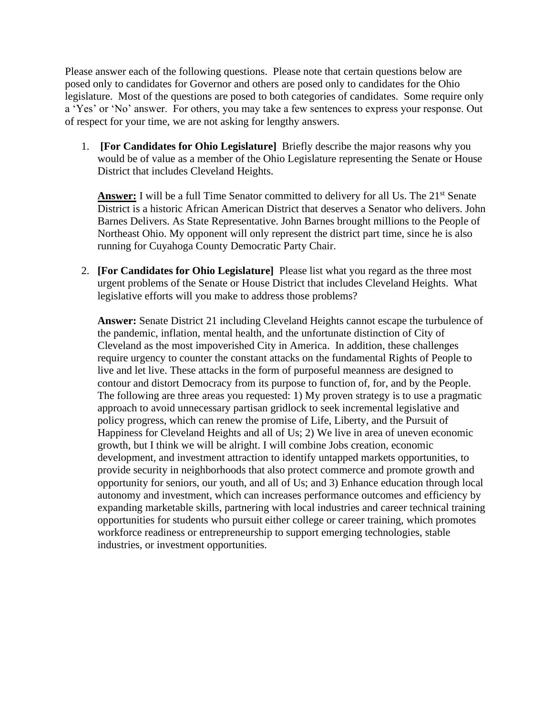Please answer each of the following questions. Please note that certain questions below are posed only to candidates for Governor and others are posed only to candidates for the Ohio legislature. Most of the questions are posed to both categories of candidates. Some require only a 'Yes' or 'No' answer. For others, you may take a few sentences to express your response. Out of respect for your time, we are not asking for lengthy answers.

1. **[For Candidates for Ohio Legislature]** Briefly describe the major reasons why you would be of value as a member of the Ohio Legislature representing the Senate or House District that includes Cleveland Heights.

**Answer:** I will be a full Time Senator committed to delivery for all Us. The 21<sup>st</sup> Senate District is a historic African American District that deserves a Senator who delivers. John Barnes Delivers. As State Representative. John Barnes brought millions to the People of Northeast Ohio. My opponent will only represent the district part time, since he is also running for Cuyahoga County Democratic Party Chair.

2. **[For Candidates for Ohio Legislature]** Please list what you regard as the three most urgent problems of the Senate or House District that includes Cleveland Heights. What legislative efforts will you make to address those problems?

**Answer:** Senate District 21 including Cleveland Heights cannot escape the turbulence of the pandemic, inflation, mental health, and the unfortunate distinction of City of Cleveland as the most impoverished City in America. In addition, these challenges require urgency to counter the constant attacks on the fundamental Rights of People to live and let live. These attacks in the form of purposeful meanness are designed to contour and distort Democracy from its purpose to function of, for, and by the People. The following are three areas you requested: 1) My proven strategy is to use a pragmatic approach to avoid unnecessary partisan gridlock to seek incremental legislative and policy progress, which can renew the promise of Life, Liberty, and the Pursuit of Happiness for Cleveland Heights and all of Us; 2) We live in area of uneven economic growth, but I think we will be alright. I will combine Jobs creation, economic development, and investment attraction to identify untapped markets opportunities, to provide security in neighborhoods that also protect commerce and promote growth and opportunity for seniors, our youth, and all of Us; and 3) Enhance education through local autonomy and investment, which can increases performance outcomes and efficiency by expanding marketable skills, partnering with local industries and career technical training opportunities for students who pursuit either college or career training, which promotes workforce readiness or entrepreneurship to support emerging technologies, stable industries, or investment opportunities.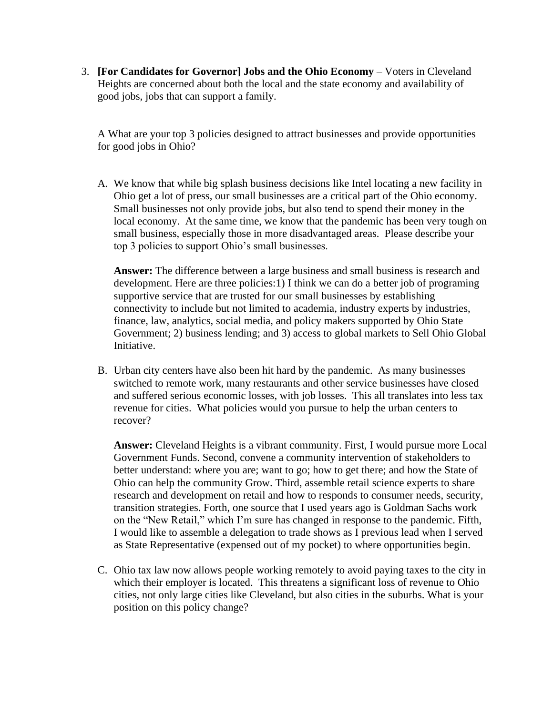3. **[For Candidates for Governor] Jobs and the Ohio Economy** – Voters in Cleveland Heights are concerned about both the local and the state economy and availability of good jobs, jobs that can support a family.

A What are your top 3 policies designed to attract businesses and provide opportunities for good jobs in Ohio?

A. We know that while big splash business decisions like Intel locating a new facility in Ohio get a lot of press, our small businesses are a critical part of the Ohio economy. Small businesses not only provide jobs, but also tend to spend their money in the local economy. At the same time, we know that the pandemic has been very tough on small business, especially those in more disadvantaged areas. Please describe your top 3 policies to support Ohio's small businesses.

**Answer:** The difference between a large business and small business is research and development. Here are three policies:1) I think we can do a better job of programing supportive service that are trusted for our small businesses by establishing connectivity to include but not limited to academia, industry experts by industries, finance, law, analytics, social media, and policy makers supported by Ohio State Government; 2) business lending; and 3) access to global markets to Sell Ohio Global Initiative.

B. Urban city centers have also been hit hard by the pandemic. As many businesses switched to remote work, many restaurants and other service businesses have closed and suffered serious economic losses, with job losses. This all translates into less tax revenue for cities. What policies would you pursue to help the urban centers to recover?

**Answer:** Cleveland Heights is a vibrant community. First, I would pursue more Local Government Funds. Second, convene a community intervention of stakeholders to better understand: where you are; want to go; how to get there; and how the State of Ohio can help the community Grow. Third, assemble retail science experts to share research and development on retail and how to responds to consumer needs, security, transition strategies. Forth, one source that I used years ago is Goldman Sachs work on the "New Retail," which I'm sure has changed in response to the pandemic. Fifth, I would like to assemble a delegation to trade shows as I previous lead when I served as State Representative (expensed out of my pocket) to where opportunities begin.

C. Ohio tax law now allows people working remotely to avoid paying taxes to the city in which their employer is located. This threatens a significant loss of revenue to Ohio cities, not only large cities like Cleveland, but also cities in the suburbs. What is your position on this policy change?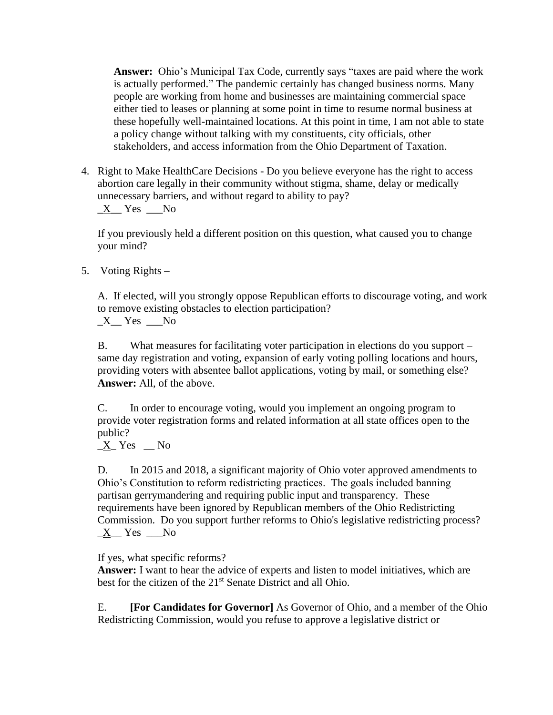**Answer:** Ohio's Municipal Tax Code, currently says "taxes are paid where the work is actually performed." The pandemic certainly has changed business norms. Many people are working from home and businesses are maintaining commercial space either tied to leases or planning at some point in time to resume normal business at these hopefully well-maintained locations. At this point in time, I am not able to state a policy change without talking with my constituents, city officials, other stakeholders, and access information from the Ohio Department of Taxation.

4. Right to Make HealthCare Decisions - Do you believe everyone has the right to access abortion care legally in their community without stigma, shame, delay or medically unnecessary barriers, and without regard to ability to pay?  $X$  Yes  $N_0$ 

If you previously held a different position on this question, what caused you to change your mind?

5. Voting Rights –

A. If elected, will you strongly oppose Republican efforts to discourage voting, and work to remove existing obstacles to election participation?  $X$ <sup>Yes  $\_\$ No</sup>

B. What measures for facilitating voter participation in elections do you support – same day registration and voting, expansion of early voting polling locations and hours, providing voters with absentee ballot applications, voting by mail, or something else? **Answer:** All, of the above.

C. In order to encourage voting, would you implement an ongoing program to provide voter registration forms and related information at all state offices open to the public?

 $X$ <sup>Nes No</sup>

D. In 2015 and 2018, a significant majority of Ohio voter approved amendments to Ohio's Constitution to reform redistricting practices. The goals included banning partisan gerrymandering and requiring public input and transparency. These requirements have been ignored by Republican members of the Ohio Redistricting Commission. Do you support further reforms to Ohio's legislative redistricting process? \_X\_\_ Yes \_\_\_No

If yes, what specific reforms?

**Answer:** I want to hear the advice of experts and listen to model initiatives, which are best for the citizen of the 21<sup>st</sup> Senate District and all Ohio.

E. **[For Candidates for Governor]** As Governor of Ohio, and a member of the Ohio Redistricting Commission, would you refuse to approve a legislative district or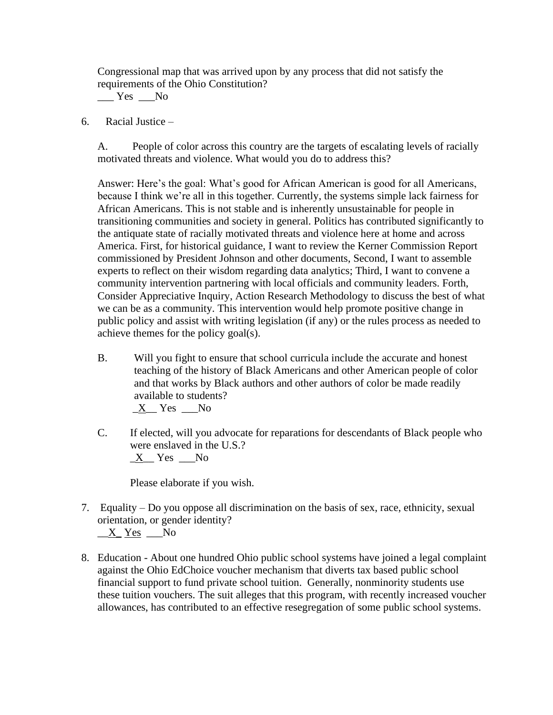Congressional map that was arrived upon by any process that did not satisfy the requirements of the Ohio Constitution?

 $Yes$  No

6. Racial Justice –

A. People of color across this country are the targets of escalating levels of racially motivated threats and violence. What would you do to address this?

Answer: Here's the goal: What's good for African American is good for all Americans, because I think we're all in this together. Currently, the systems simple lack fairness for African Americans. This is not stable and is inherently unsustainable for people in transitioning communities and society in general. Politics has contributed significantly to the antiquate state of racially motivated threats and violence here at home and across America. First, for historical guidance, I want to review the Kerner Commission Report commissioned by President Johnson and other documents, Second, I want to assemble experts to reflect on their wisdom regarding data analytics; Third, I want to convene a community intervention partnering with local officials and community leaders. Forth, Consider Appreciative Inquiry, Action Research Methodology to discuss the best of what we can be as a community. This intervention would help promote positive change in public policy and assist with writing legislation (if any) or the rules process as needed to achieve themes for the policy goal(s).

B. Will you fight to ensure that school curricula include the accurate and honest teaching of the history of Black Americans and other American people of color and that works by Black authors and other authors of color be made readily available to students?

\_X\_\_ Yes \_\_\_No

C. If elected, will you advocate for reparations for descendants of Black people who were enslaved in the U.S.?  $X$  Yes  $N_0$ 

Please elaborate if you wish.

7. Equality – Do you oppose all discrimination on the basis of sex, race, ethnicity, sexual orientation, or gender identity?

\_\_X\_ Yes \_\_\_No

8. Education - About one hundred Ohio public school systems have joined a legal complaint against the Ohio EdChoice voucher mechanism that diverts tax based public school financial support to fund private school tuition. Generally, nonminority students use these tuition vouchers. The suit alleges that this program, with recently increased voucher allowances, has contributed to an effective resegregation of some public school systems.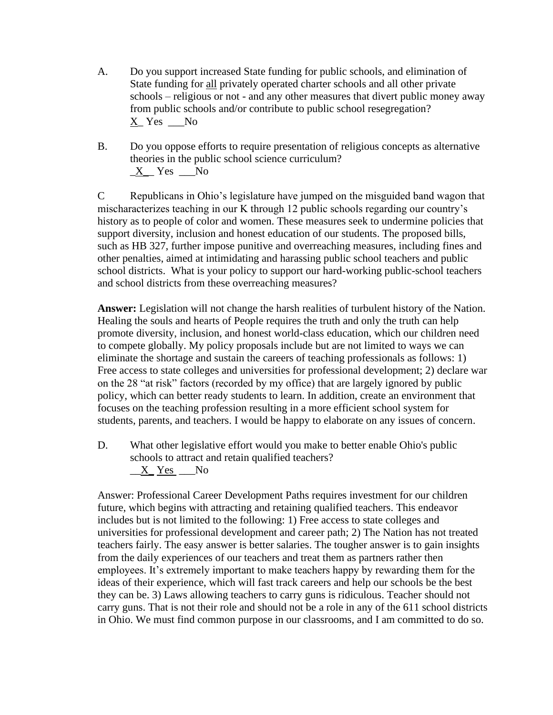- A. Do you support increased State funding for public schools, and elimination of State funding for all privately operated charter schools and all other private schools – religious or not - and any other measures that divert public money away from public schools and/or contribute to public school resegregation?  $\underline{X}$  Yes  $\underline{\hspace{1cm}}$  No
- B. Do you oppose efforts to require presentation of religious concepts as alternative theories in the public school science curriculum?  $X$ <sup>Yes  $N$ o</sup>

C Republicans in Ohio's legislature have jumped on the misguided band wagon that mischaracterizes teaching in our K through 12 public schools regarding our country's history as to people of color and women. These measures seek to undermine policies that support diversity, inclusion and honest education of our students. The proposed bills, such as HB 327, further impose punitive and overreaching measures, including fines and other penalties, aimed at intimidating and harassing public school teachers and public school districts. What is your policy to support our hard-working public-school teachers and school districts from these overreaching measures?

**Answer:** Legislation will not change the harsh realities of turbulent history of the Nation. Healing the souls and hearts of People requires the truth and only the truth can help promote diversity, inclusion, and honest world-class education, which our children need to compete globally. My policy proposals include but are not limited to ways we can eliminate the shortage and sustain the careers of teaching professionals as follows: 1) Free access to state colleges and universities for professional development; 2) declare war on the 28 "at risk" factors (recorded by my office) that are largely ignored by public policy, which can better ready students to learn. In addition, create an environment that focuses on the teaching profession resulting in a more efficient school system for students, parents, and teachers. I would be happy to elaborate on any issues of concern.

D. What other legislative effort would you make to better enable Ohio's public schools to attract and retain qualified teachers?  $X$ <sub>\_</sub>Yes \_\_No

Answer: Professional Career Development Paths requires investment for our children future, which begins with attracting and retaining qualified teachers. This endeavor includes but is not limited to the following: 1) Free access to state colleges and universities for professional development and career path; 2) The Nation has not treated teachers fairly. The easy answer is better salaries. The tougher answer is to gain insights from the daily experiences of our teachers and treat them as partners rather then employees. It's extremely important to make teachers happy by rewarding them for the ideas of their experience, which will fast track careers and help our schools be the best they can be. 3) Laws allowing teachers to carry guns is ridiculous. Teacher should not carry guns. That is not their role and should not be a role in any of the 611 school districts in Ohio. We must find common purpose in our classrooms, and I am committed to do so.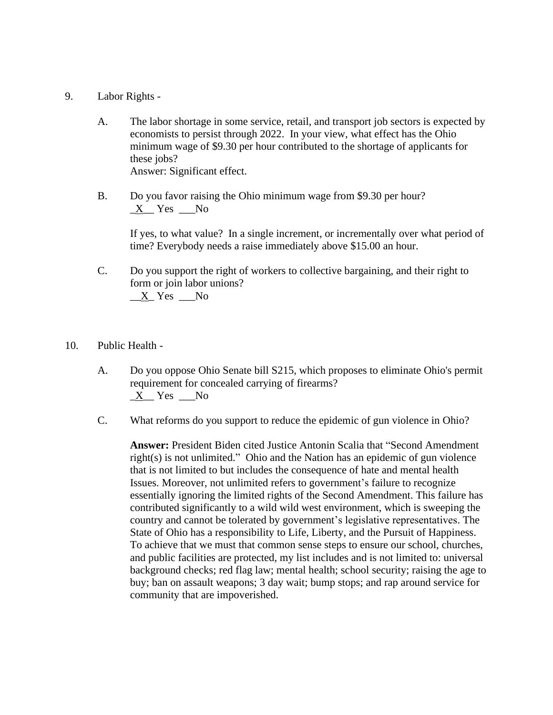- 9. Labor Rights
	- A. The labor shortage in some service, retail, and transport job sectors is expected by economists to persist through 2022. In your view, what effect has the Ohio minimum wage of \$9.30 per hour contributed to the shortage of applicants for these jobs? Answer: Significant effect.
	- B. Do you favor raising the Ohio minimum wage from \$9.30 per hour?  $X$ <sup>Nes No</sup>

If yes, to what value? In a single increment, or incrementally over what period of time? Everybody needs a raise immediately above \$15.00 an hour.

- C. Do you support the right of workers to collective bargaining, and their right to form or join labor unions?  $X_Y$  Yes  $N_0$
- 10. Public Health
	- A. Do you oppose Ohio Senate bill S215, which proposes to eliminate Ohio's permit requirement for concealed carrying of firearms?  $\underline{X}$  Yes  $\underline{N}$ o
	- C. What reforms do you support to reduce the epidemic of gun violence in Ohio?

**Answer:** President Biden cited Justice Antonin Scalia that "Second Amendment right(s) is not unlimited." Ohio and the Nation has an epidemic of gun violence that is not limited to but includes the consequence of hate and mental health Issues. Moreover, not unlimited refers to government's failure to recognize essentially ignoring the limited rights of the Second Amendment. This failure has contributed significantly to a wild wild west environment, which is sweeping the country and cannot be tolerated by government's legislative representatives. The State of Ohio has a responsibility to Life, Liberty, and the Pursuit of Happiness. To achieve that we must that common sense steps to ensure our school, churches, and public facilities are protected, my list includes and is not limited to: universal background checks; red flag law; mental health; school security; raising the age to buy; ban on assault weapons; 3 day wait; bump stops; and rap around service for community that are impoverished.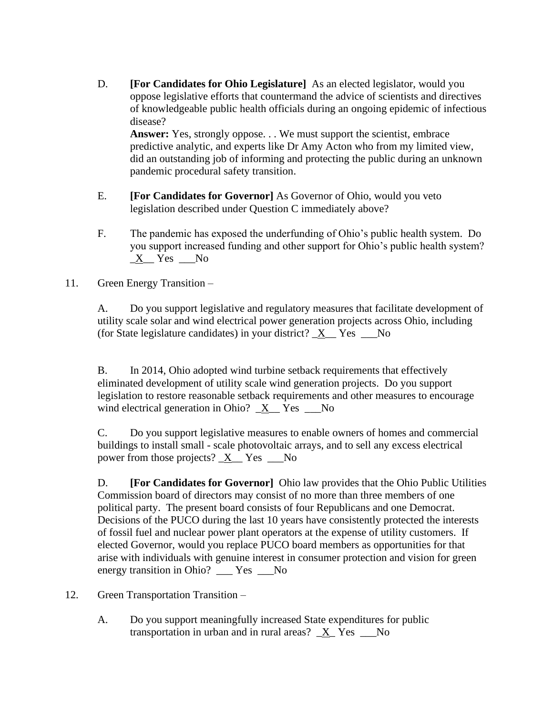D. **[For Candidates for Ohio Legislature]** As an elected legislator, would you oppose legislative efforts that countermand the advice of scientists and directives of knowledgeable public health officials during an ongoing epidemic of infectious disease?

Answer: Yes, strongly oppose. . . We must support the scientist, embrace predictive analytic, and experts like Dr Amy Acton who from my limited view, did an outstanding job of informing and protecting the public during an unknown pandemic procedural safety transition.

- E. **[For Candidates for Governor]** As Governor of Ohio, would you veto legislation described under Question C immediately above?
- F. The pandemic has exposed the underfunding of Ohio's public health system. Do you support increased funding and other support for Ohio's public health system? \_X\_\_ Yes \_\_\_No

## 11. Green Energy Transition –

A. Do you support legislative and regulatory measures that facilitate development of utility scale solar and wind electrical power generation projects across Ohio, including (for State legislature candidates) in your district?  $X$  Yes  $\sim$  No

B. In 2014, Ohio adopted wind turbine setback requirements that effectively eliminated development of utility scale wind generation projects. Do you support legislation to restore reasonable setback requirements and other measures to encourage wind electrical generation in Ohio?  $X$  Yes No

C. Do you support legislative measures to enable owners of homes and commercial buildings to install small - scale photovoltaic arrays, and to sell any excess electrical power from those projects?  $X$  Yes No

D. **[For Candidates for Governor]** Ohio law provides that the Ohio Public Utilities Commission board of directors may consist of no more than three members of one political party. The present board consists of four Republicans and one Democrat. Decisions of the PUCO during the last 10 years have consistently protected the interests of fossil fuel and nuclear power plant operators at the expense of utility customers. If elected Governor, would you replace PUCO board members as opportunities for that arise with individuals with genuine interest in consumer protection and vision for green energy transition in Ohio? \_\_\_ Yes \_\_\_No

- 12. Green Transportation Transition
	- A. Do you support meaningfully increased State expenditures for public transportation in urban and in rural areas?  $X$  Yes  $N_0$